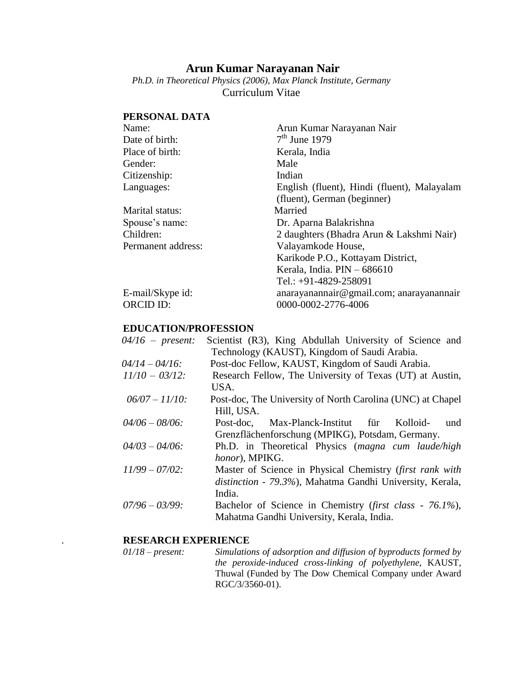# **Arun Kumar Narayanan Nair**

*Ph.D. in Theoretical Physics (2006), Max Planck Institute, Germany* Curriculum Vitae

# **PERSONAL DATA**

| Arun Kumar Narayanan Nair                   |
|---------------------------------------------|
| $7th$ June 1979                             |
| Kerala, India                               |
| Male                                        |
| Indian                                      |
| English (fluent), Hindi (fluent), Malayalam |
| (fluent), German (beginner)                 |
| Married                                     |
| Dr. Aparna Balakrishna                      |
| 2 daughters (Bhadra Arun & Lakshmi Nair)    |
| Valayamkode House,                          |
| Karikode P.O., Kottayam District,           |
| Kerala, India. PIN - 686610                 |
| Tel.: +91-4829-258091                       |
| anarayanannair@gmail.com; anarayanannair    |
| 0000-0002-2776-4006                         |
|                                             |

# **EDUCATION/PROFESSION**

| $04/16$ – present: | Scientist (R3), King Abdullah University of Science and    |
|--------------------|------------------------------------------------------------|
|                    | Technology (KAUST), Kingdom of Saudi Arabia.               |
| $04/14 - 04/16$ :  | Post-doc Fellow, KAUST, Kingdom of Saudi Arabia.           |
| $11/10 - 03/12$ :  | Research Fellow, The University of Texas (UT) at Austin,   |
|                    | USA.                                                       |
| $06/07 - 11/10$ :  | Post-doc, The University of North Carolina (UNC) at Chapel |
|                    | Hill, USA.                                                 |
| $04/06 - 08/06$ :  | Max-Planck-Institut für Kolloid-<br>Post-doc.<br>und       |
|                    | Grenzflächenforschung (MPIKG), Potsdam, Germany.           |
| $04/03 - 04/06$ :  | Ph.D. in Theoretical Physics (magna cum laude/high         |
|                    | honor), MPIKG.                                             |
| $11/99 - 07/02$ :  | Master of Science in Physical Chemistry (first rank with   |
|                    | distinction - 79.3%), Mahatma Gandhi University, Kerala,   |
|                    | India.                                                     |
| $07/96 - 03/99$ :  | Bachelor of Science in Chemistry (first class - 76.1%),    |
|                    | Mahatma Gandhi University, Kerala, India.                  |

# . **RESEARCH EXPERIENCE**

| $01/18$ – present: | Simulations of adsorption and diffusion of byproducts formed by |
|--------------------|-----------------------------------------------------------------|
|                    | the peroxide-induced cross-linking of polyethylene, KAUST,      |
|                    | Thuwal (Funded by The Dow Chemical Company under Award          |
|                    | RGC/3/3560-01).                                                 |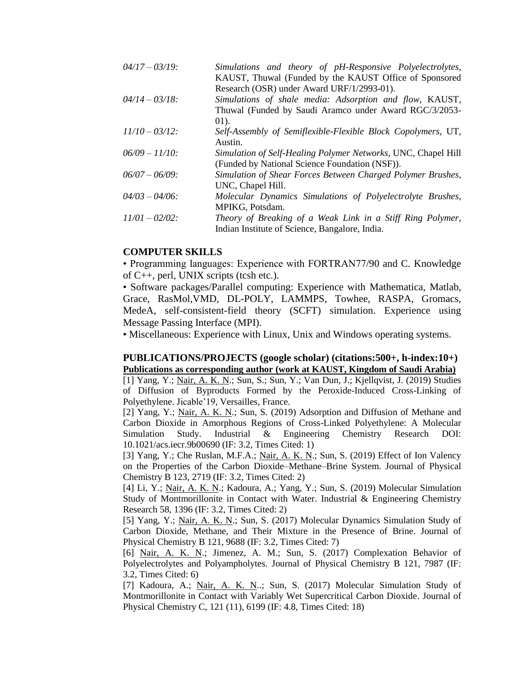| $04/17 - 03/19$ : | Simulations and theory of pH-Responsive Polyelectrolytes,<br>KAUST, Thuwal (Funded by the KAUST Office of Sponsored |
|-------------------|---------------------------------------------------------------------------------------------------------------------|
|                   | Research (OSR) under Award URF/1/2993-01).                                                                          |
| $04/14 - 03/18$ : | Simulations of shale media: Adsorption and flow, KAUST,                                                             |
|                   | Thuwal (Funded by Saudi Aramco under Award RGC/3/2053-<br>$(01)$ .                                                  |
| $11/10 - 03/12$ : | Self-Assembly of Semiflexible-Flexible Block Copolymers, UT,<br>Austin.                                             |
| $06/09 - 11/10$ : | Simulation of Self-Healing Polymer Networks, UNC, Chapel Hill<br>(Funded by National Science Foundation (NSF)).     |
| $06/07 - 06/09$ : | Simulation of Shear Forces Between Charged Polymer Brushes,<br>UNC, Chapel Hill.                                    |
| $04/03 - 04/06$ : | Molecular Dynamics Simulations of Polyelectrolyte Brushes,<br>MPIKG, Potsdam.                                       |
| $11/01 - 02/02$ : | Theory of Breaking of a Weak Link in a Stiff Ring Polymer,<br>Indian Institute of Science, Bangalore, India.        |

# **COMPUTER SKILLS**

• Programming languages: Experience with FORTRAN77/90 and C. Knowledge of C++, perl, UNIX scripts (tcsh etc.).

• Software packages/Parallel computing: Experience with Mathematica, Matlab, Grace, RasMol,VMD, DL-POLY, LAMMPS, Towhee, RASPA, Gromacs, MedeA, self-consistent-field theory (SCFT) simulation. Experience using Message Passing Interface (MPI).

• Miscellaneous: Experience with Linux, Unix and Windows operating systems.

### **PUBLICATIONS/PROJECTS [\(google scholar\)](http://scholar.google.com/citations?user=3R0uTM4AAAAJ&hl=en) (citations:500+, h-index:10+) Publications as corresponding author (work at KAUST, Kingdom of Saudi Arabia)**

[1] Yang, Y.; Nair, A. K. N.; Sun, S.; Sun, Y.; Van Dun, J.; Kjellqvist, J. (2019) Studies of Diffusion of Byproducts Formed by the Peroxide-Induced Cross-Linking of Polyethylene. Jicable'19, Versailles, France.

[2] Yang, Y.; Nair, A. K. N.; Sun, S. (2019) Adsorption and Diffusion of Methane and Carbon Dioxide in Amorphous Regions of Cross-Linked Polyethylene: A Molecular Simulation Study. Industrial & Engineering Chemistry Research DOI: 10.1021/acs.iecr.9b00690 (IF: 3.2, Times Cited: 1)

[3] Yang, Y.; Che Ruslan, M.F.A.; Nair, A. K. N.; Sun, S. (2019) Effect of Ion Valency on the Properties of the Carbon Dioxide–Methane–Brine System. Journal of Physical Chemistry B 123, 2719 (IF: 3.2, Times Cited: 2)

[4] Li, Y.; Nair, A. K. N.; Kadoura, A.; Yang, Y.; Sun, S. (2019) Molecular Simulation Study of Montmorillonite in Contact with Water. Industrial & Engineering Chemistry Research 58, 1396 (IF: 3.2, Times Cited: 2)

[5] Yang, Y.; Nair, A. K. N.; Sun, S. (2017) Molecular Dynamics Simulation Study of Carbon Dioxide, Methane, and Their Mixture in the Presence of Brine. Journal of Physical Chemistry B 121, 9688 (IF: 3.2, Times Cited: 7)

[6] Nair, A. K. N.; Jimenez, A. M.; Sun, S. (2017) Complexation Behavior of Polyelectrolytes and Polyampholytes. Journal of Physical Chemistry B 121, 7987 (IF: 3.2, Times Cited: 6)

[7] Kadoura, A.; Nair, A. K. N..; Sun, S. (2017) Molecular Simulation Study of Montmorillonite in Contact with Variably Wet Supercritical Carbon Dioxide. Journal of Physical Chemistry C, 121 (11), 6199 (IF: 4.8, Times Cited: 18)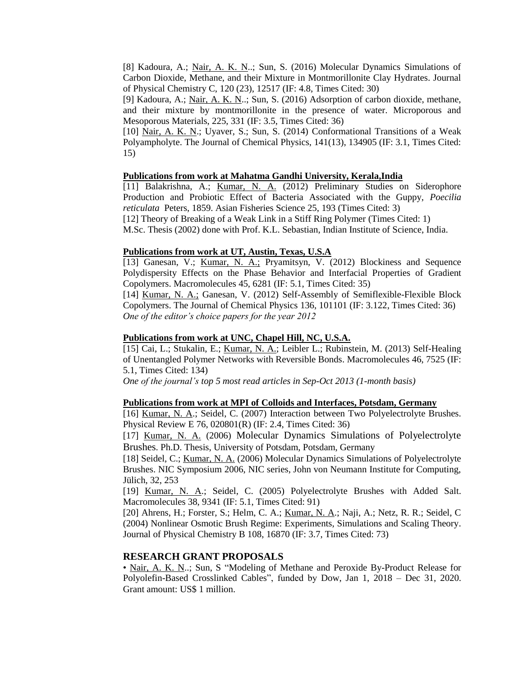[8] Kadoura, A.; Nair, A. K. N..; Sun, S. (2016) Molecular Dynamics Simulations of Carbon Dioxide, Methane, and their Mixture in Montmorillonite Clay Hydrates. Journal of Physical Chemistry C, 120 (23), 12517 (IF: 4.8, Times Cited: 30)

[9] Kadoura, A.; Nair, A. K. N..; Sun, S. (2016) Adsorption of carbon dioxide, methane, and their mixture by montmorillonite in the presence of water. Microporous and Mesoporous Materials, 225, 331 (IF: 3.5, Times Cited: 36)

[10] Nair, A. K. N.; Uyaver, S.; Sun, S. (2014) [Conformational Transitions of a Weak](http://scitation.aip.org/content/aip/journal/jcp/141/13/10.1063/1.4897161)  [Polyampholyte.](http://scitation.aip.org/content/aip/journal/jcp/141/13/10.1063/1.4897161) The Journal of Chemical Physics, 141(13), 134905 (IF: 3.1, Times Cited: 15)

#### **Publications from work at Mahatma Gandhi University, Kerala,India**

[11] Balakrishna, A.; Kumar, N. A. (2012) [Preliminary Studies on Siderophore](http://www.asianfisheriessociety.org/publication/abstract.php?id=18)  [Production and Probiotic Effect of Bacteria Associated with the Guppy,](http://www.asianfisheriessociety.org/publication/abstract.php?id=18) *Poecilia reticulata* [Peters, 1859.](http://www.asianfisheriessociety.org/publication/abstract.php?id=18) Asian Fisheries Science 25, 193 (Times Cited: 3) [12] Theory of Breaking of a Weak Link in a Stiff Ring Polymer (Times Cited: 1)

M.Sc. Thesis (2002) done with Prof. K.L. Sebastian, Indian Institute of Science, India.

# **Publications from work at UT, Austin, Texas, U.S.A**

[13] Ganesan, V.; Kumar, N. A.; Pryamitsyn, V. (2012) Blockiness and Sequence [Polydispersity Effects on the Phase Behavior and Interfacial Properties of](http://pubs.acs.org/doi/abs/10.1021/ma301136y) Gradient [Copolymers.](http://pubs.acs.org/doi/abs/10.1021/ma301136y) Macromolecules 45, 6281 (IF: 5.1, Times Cited: 35)

[14] Kumar, N. A.; Ganesan, V. (2012) [Self-Assembly of Semiflexible-Flexible Block](http://jcp.aip.org/resource/1/jcpsa6/v136/i10/p101101_s1?bypassSSO=1)  [Copolymers.](http://jcp.aip.org/resource/1/jcpsa6/v136/i10/p101101_s1?bypassSSO=1) The Journal of Chemical Physics 136, 101101 (IF: 3.122, Times Cited: 36) *One of the editor's choice papers for the year 2012*

#### **Publications from work at UNC, Chapel Hill, NC, U.S.A.**

[15] Cai, L.; Stukalin, E.; Kumar, N. A.; Leibler L.; Rubinstein, M. (2013) [Self-Healing](http://dx.doi.org/10.1021/ma401111n)  [of Unentangled Polymer Networks with Reversible Bonds.](http://dx.doi.org/10.1021/ma401111n) Macromolecules 46, 7525 (IF: 5.1, Times Cited: 134)

*One of the journal's top 5 most read articles in Sep-Oct 2013 (1-month basis)*

#### **Publications from work at MPI of Colloids and Interfaces, Potsdam, Germany**

[16] Kumar, N. A.; Seidel, C. (2007) Interaction between [Two Polyelectrolyte Brushes.](http://pre.aps.org/abstract/PRE/v76/i2/e020801) Physical Review E 76, 020801(R) (IF: 2.4, Times Cited: 36)

[17] Kumar, N. A. (2006) [Molecular Dynamics Simulations of Polyelectrolyte](http://opus.kobv.de/ubp/volltexte/2006/700/)  [Brushes](http://opus.kobv.de/ubp/volltexte/2006/700/). Ph.D. Thesis, University of Potsdam, Potsdam, Germany

[18] Seidel, C.; Kumar, N. A. (2006) [Molecular Dynamics Simulations of Polyelectrolyte](http://www2.fz-juelich.de/nic-series/volume32/seidel.pdf)  [Brushes.](http://www2.fz-juelich.de/nic-series/volume32/seidel.pdf) NIC Symposium 2006, NIC series, John von Neumann Institute for Computing, Jülich, 32, 253

[19] Kumar, N. A.; Seidel, C. (2005) Polyelectrolyte [Brushes with Added Salt.](http://pubs.acs.org/doi/abs/10.1021/ma0515735) Macromolecules 38, 9341 (IF: 5.1, Times Cited: 91)

[20] Ahrens, H.; Forster, S.; Helm, C. A.; Kumar, N. A.; Naji, A.; Netz, R. R.; Seidel, C (2004) [Nonlinear Osmotic Brush Regime: Experiments, Simulations and Scaling Theory.](http://pubs.acs.org/doi/abs/10.1021/jp049553c) Journal of Physical Chemistry B 108, 16870 (IF: 3.7, Times Cited: 73)

### **RESEARCH GRANT PROPOSALS**

• Nair, A. K. N..; Sun, S "Modeling of Methane and Peroxide By-Product Release for Polyolefin-Based Crosslinked Cables", funded by Dow, Jan 1, 2018 – Dec 31, 2020. Grant amount: US\$ 1 million.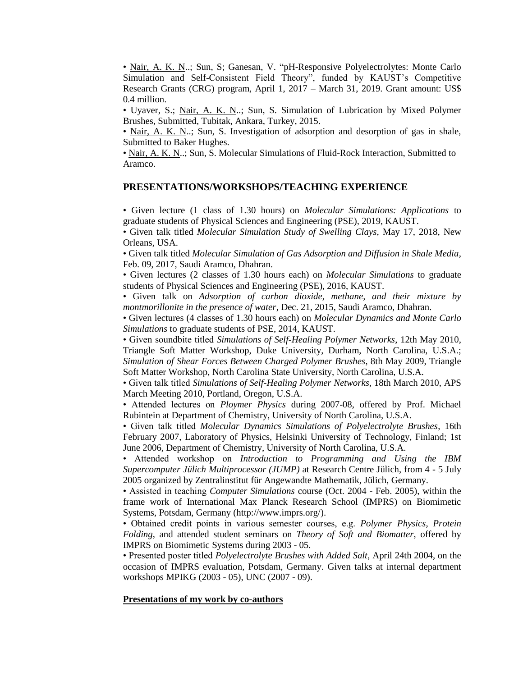• Nair, A. K. N..; Sun, S; Ganesan, V. "pH-Responsive Polyelectrolytes: Monte Carlo Simulation and Self-Consistent Field Theory", funded by KAUST's Competitive Research Grants (CRG) program, April 1, 2017 – March 31, 2019. Grant amount: US\$ 0.4 million.

• Uyaver, S.; Nair, A. K. N..; Sun, S. Simulation of Lubrication by Mixed Polymer Brushes, Submitted, Tubitak, Ankara, Turkey, 2015.

• Nair, A. K. N..; Sun, S. Investigation of adsorption and desorption of gas in shale, Submitted to Baker Hughes.

• Nair, A. K. N..; Sun, S. Molecular Simulations of Fluid-Rock Interaction, Submitted to Aramco.

### **PRESENTATIONS/WORKSHOPS/TEACHING EXPERIENCE**

• Given lecture (1 class of 1.30 hours) on *Molecular Simulations: Applications* to graduate students of Physical Sciences and Engineering (PSE), 2019, KAUST.

• Given talk titled *Molecular Simulation Study of Swelling Clays*, May 17, 2018, New Orleans, USA.

• Given talk titled *Molecular Simulation of Gas Adsorption and Diffusion in Shale Media*, Feb. 09, 2017, Saudi Aramco, Dhahran.

• Given lectures (2 classes of 1.30 hours each) on *Molecular Simulations* to graduate students of Physical Sciences and Engineering (PSE), 2016, KAUST.

• Given talk on *Adsorption of carbon dioxide, methane, and their mixture by montmorillonite in the presence of water*, Dec. 21, 2015, Saudi Aramco, Dhahran.

• Given lectures (4 classes of 1.30 hours each) on *Molecular Dynamics and Monte Carlo Simulations* to graduate students of PSE, 2014, KAUST.

• Given soundbite titled *Simulations of Self-Healing Polymer Networks*, 12th May 2010, Triangle Soft Matter Workshop, Duke University, Durham, North Carolina, U.S.A.; *Simulation of Shear Forces Between Charged Polymer Brushes*, 8th May 2009, Triangle Soft Matter Workshop, North Carolina State University, North Carolina, U.S.A.

• Given talk titled *Simulations of Self-Healing Polymer Networks*, 18th March 2010, APS March Meeting 2010, Portland, Oregon, U.S.A.

• Attended lectures on *Ploymer Physics* during 2007-08, offered by Prof. Michael Rubintein at Department of Chemistry, University of North Carolina, U.S.A.

• Given talk titled *Molecular Dynamics Simulations of Polyelectrolyte Brushes*, 16th February 2007, Laboratory of Physics, Helsinki University of Technology, Finland; 1st June 2006, Department of Chemistry, University of North Carolina, U.S.A.

• Attended workshop on *Introduction to Programming and Using the IBM Supercomputer Jülich Multiprocessor (JUMP)* at Research Centre Jülich, from 4 - 5 July 2005 organized by Zentralinstitut für Angewandte Mathematik, Jülich*,* Germany.

• Assisted in teaching *Computer Simulations* course (Oct. 2004 - Feb. 2005), within the frame work of International Max Planck Research School (IMPRS) on Biomimetic Systems, Potsdam, Germany [\(http://www.imprs.org/\)](http://www.imprs.org/).

• Obtained credit points in various semester courses, e.g. *Polymer Physics*, *Protein Folding*, and attended student seminars on *Theory of Soft and Biomatter*, offered by IMPRS on Biomimetic Systems during 2003 - 05.

• Presented poster titled *Polyelectrolyte Brushes with Added Salt*, April 24th 2004, on the occasion of IMPRS evaluation, Potsdam, Germany. Given talks at internal department workshops MPIKG (2003 - 05), UNC (2007 - 09).

#### **Presentations of my work by co-authors**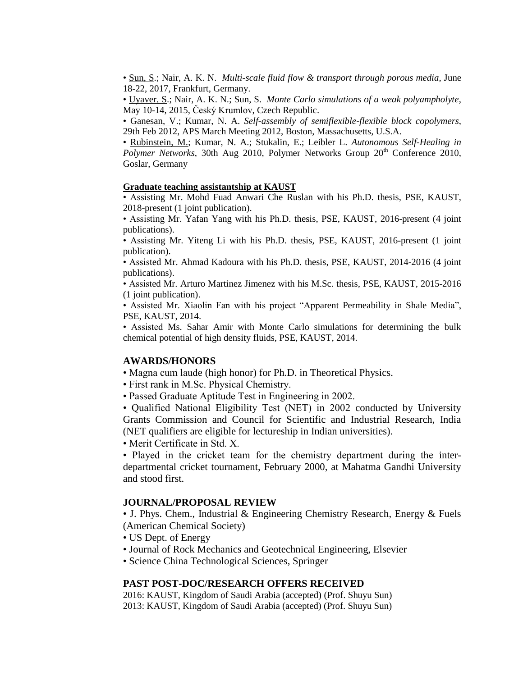• Sun, S.; Nair, A. K. N. *[Multi-scale fluid flow & transport through porous media](http://scitation.aip.org/content/aip/journal/jcp/141/13/10.1063/1.4897161)*, June 18-22, 2017, Frankfurt, Germany.

• Uyaver, S.; Nair, A. K. N.; Sun, S. *[Monte Carlo simulations of a weak polyampholyte](http://scitation.aip.org/content/aip/journal/jcp/141/13/10.1063/1.4897161)*, May 10-14, 2015, Český Krumlov, Czech Republic.

• Ganesan, V.; Kumar, N. A. *[Self-assembly of semiflexible-flexible block copolymers](http://meetings.aps.org/Meeting/MAR12/Session/T50.1)*, 29th Feb 2012, APS March Meeting 2012, Boston, Massachusetts, U.S.A.

• Rubinstein, M.; Kumar, N. A.; Stukalin, E.; Leibler L. *Autonomous Self-Healing in Polymer Networks*, 30th Aug 2010, Polymer Networks Group 20<sup>th</sup> Conference 2010, Goslar, Germany

#### **Graduate teaching assistantship at KAUST**

• Assisting Mr. Mohd Fuad Anwari Che Ruslan with his Ph.D. thesis, PSE, KAUST, 2018-present (1 joint publication).

• Assisting Mr. Yafan Yang with his Ph.D. thesis, PSE, KAUST, 2016-present (4 joint publications).

• Assisting Mr. Yiteng Li with his Ph.D. thesis, PSE, KAUST, 2016-present (1 joint publication).

• Assisted Mr. Ahmad Kadoura with his Ph.D. thesis, PSE, KAUST, 2014-2016 (4 joint publications).

• Assisted Mr. Arturo Martinez Jimenez with his M.Sc. thesis, PSE, KAUST, 2015-2016 (1 joint publication).

• Assisted Mr. Xiaolin Fan with his project "Apparent Permeability in Shale Media", PSE, KAUST, 2014.

• Assisted Ms. Sahar Amir with Monte Carlo simulations for determining the bulk chemical potential of high density fluids, PSE, KAUST, 2014.

#### **AWARDS/HONORS**

• Magna cum laude (high honor) for Ph.D. in Theoretical Physics.

- First rank in M.Sc. Physical Chemistry.
- Passed Graduate Aptitude Test in Engineering in 2002.

• Qualified National Eligibility Test (NET) in 2002 conducted by University Grants Commission and Council for Scientific and Industrial Research, India (NET qualifiers are eligible for lectureship in Indian universities).

• Merit Certificate in Std. X.

• Played in the cricket team for the chemistry department during the interdepartmental cricket tournament, February 2000, at Mahatma Gandhi University and stood first.

#### **JOURNAL/PROPOSAL REVIEW**

• J. Phys. Chem., Industrial & Engineering Chemistry Research, Energy & Fuels (American Chemical Society)

- US Dept. of Energy
- Journal of Rock Mechanics and Geotechnical Engineering, Elsevier
- Science China Technological Sciences, Springer

### **PAST POST-DOC/RESEARCH OFFERS RECEIVED**

2016: KAUST, Kingdom of Saudi Arabia (accepted) (Prof. Shuyu Sun) 2013: KAUST, Kingdom of Saudi Arabia (accepted) (Prof. Shuyu Sun)